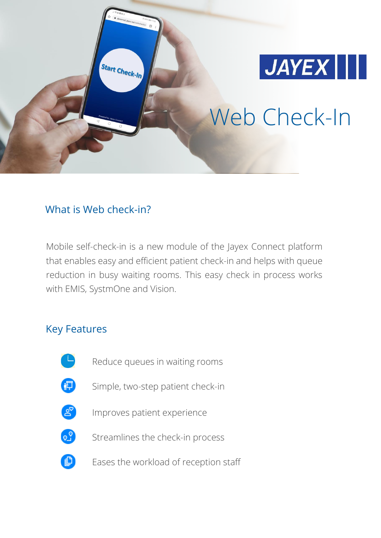

Web Check-In

## What is Web check-in?

**Start Check-In** 

Mobile self-check-in is a new module of the Jayex Connect platform that enables easy and efficient patient check-in and helps with queue reduction in busy waiting rooms. This easy check in process works with EMIS, SystmOne and Vision.

## Key Features

- 
- Reduce queues in waiting rooms
- ❸
- Simple, two-step patient check-in
- $P_{\infty}$
- Improves patient experience
- $\circ$
- Streamlines the check-in process
- O
- Eases the workload of reception staff